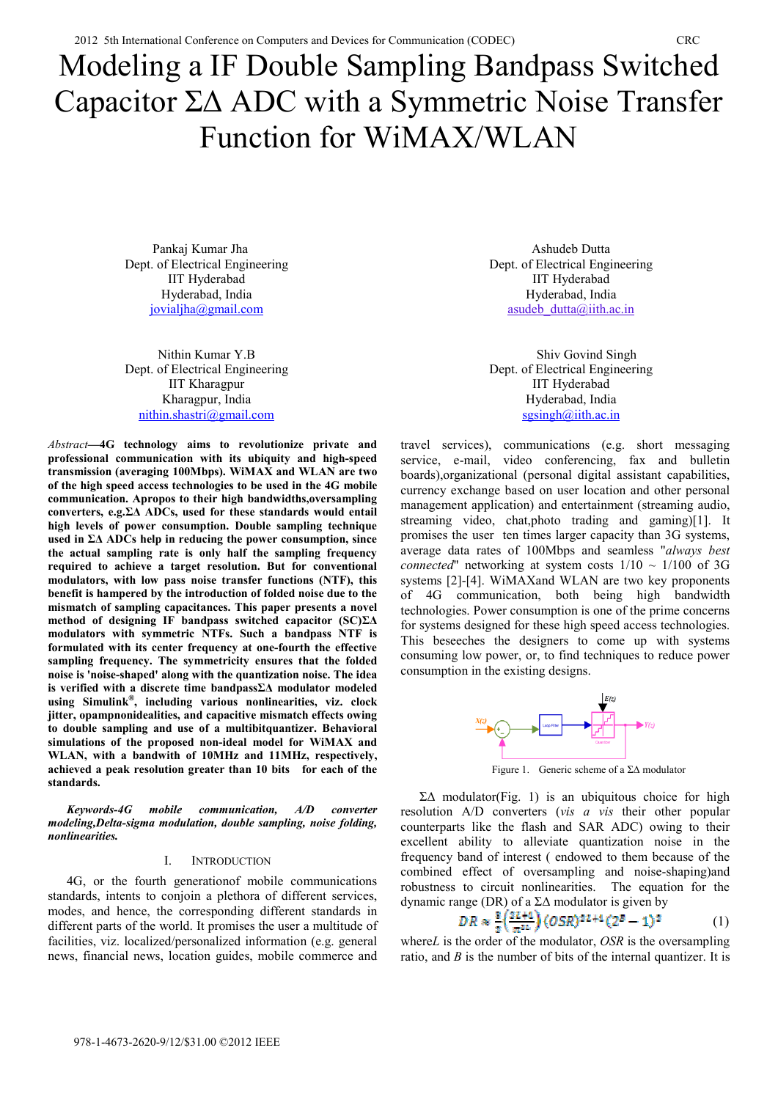# Modeling a IF Double Sampling Bandpass Switched Capacitor  $\Sigma\Delta$  ADC with a Symmetric Noise Transfer Function for WiMAX/WLAN

 Pankaj Kumar Jha Dept. of Electrical Engineering IIT Hyderabad Hyderabad, India jovialjha@gmail.com

Nithin Kumar Y.B Dept. of Electrical Engineering IIT Kharagpur Kharagpur, India nithin.shastri@gmail.com

*Abstract***—4G technology aims to revolutionize private and professional communication with its ubiquity and high-speed transmission (averaging 100Mbps). WiMAX and WLAN are two of the high speed access technologies to be used in the 4G mobile communication. Apropos to their high bandwidths,oversampling**  converters, e.g. $\Sigma\Delta$  ADCs, used for these standards would entail **high levels of power consumption. Double sampling technique**  used in  $\Sigma\Delta$  ADCs help in reducing the power consumption, since **the actual sampling rate is only half the sampling frequency required to achieve a target resolution. But for conventional modulators, with low pass noise transfer functions (NTF), this benefit is hampered by the introduction of folded noise due to the mismatch of sampling capacitances. This paper presents a novel**  method of designing IF bandpass switched capacitor  $SC)\Sigma\Delta$ **modulators with symmetric NTFs. Such a bandpass NTF is formulated with its center frequency at one-fourth the effective sampling frequency. The symmetricity ensures that the folded noise is 'noise-shaped' along with the quantization noise. The idea**  is verified with a discrete time bandpass $\Sigma\Delta$  modulator modeled **using Simulink®, including various nonlinearities, viz. clock jitter, opampnonidealities, and capacitive mismatch effects owing to double sampling and use of a multibitquantizer. Behavioral simulations of the proposed non-ideal model for WiMAX and WLAN, with a bandwith of 10MHz and 11MHz, respectively, achieved a peak resolution greater than 10 bits for each of the standards.** 

*Keywords-4G mobile communication, A/D converter modeling,Delta-sigma modulation, double sampling, noise folding, nonlinearities.* 

#### I. INTRODUCTION

4G, or the fourth generationof mobile communications standards, intents to conjoin a plethora of different services, modes, and hence, the corresponding different standards in different parts of the world. It promises the user a multitude of facilities, viz. localized/personalized information (e.g. general news, financial news, location guides, mobile commerce and

Ashudeb Dutta Dept. of Electrical Engineering IIT Hyderabad Hyderabad, India asudeb  $d$ utta $@$ iith.ac.in

 Shiv Govind Singh Dept. of Electrical Engineering IIT Hyderabad Hyderabad, India  $sgsingh(\omega)$ iith.ac.in

travel services), communications (e.g. short messaging service, e-mail, video conferencing, fax and bulletin boards),organizational (personal digital assistant capabilities, currency exchange based on user location and other personal management application) and entertainment (streaming audio, streaming video, chat,photo trading and gaming)[1]. It promises the user ten times larger capacity than 3G systems, average data rates of 100Mbps and seamless "*always best connected*" networking at system costs  $1/10 \sim 1/100$  of 3G systems [2]-[4]. WiMAXand WLAN are two key proponents of 4G communication, both being high bandwidth technologies. Power consumption is one of the prime concerns for systems designed for these high speed access technologies. This beseeches the designers to come up with systems consuming low power, or, to find techniques to reduce power consumption in the existing designs.



Figure 1. Generic scheme of a  $\Sigma\Delta$  modulator

 $\Sigma\Delta$  modulator(Fig. 1) is an ubiquitous choice for high resolution A/D converters (*vis a vis* their other popular counterparts like the flash and SAR ADC) owing to their excellent ability to alleviate quantization noise in the frequency band of interest ( endowed to them because of the combined effect of oversampling and noise-shaping)and robustness to circuit nonlinearities. The equation for the dynamic range (DR) of a  $\Sigma\Delta$  modulator is given by

$$
OR \approx \frac{8}{\pi} \left( \frac{2L+4}{\pi^{2L}} \right) (OSR)^{2L+4} (2^B - 1)^2 \tag{1}
$$

where*L* is the order of the modulator, *OSR* is the oversampling ratio, and *B* is the number of bits of the internal quantizer. It is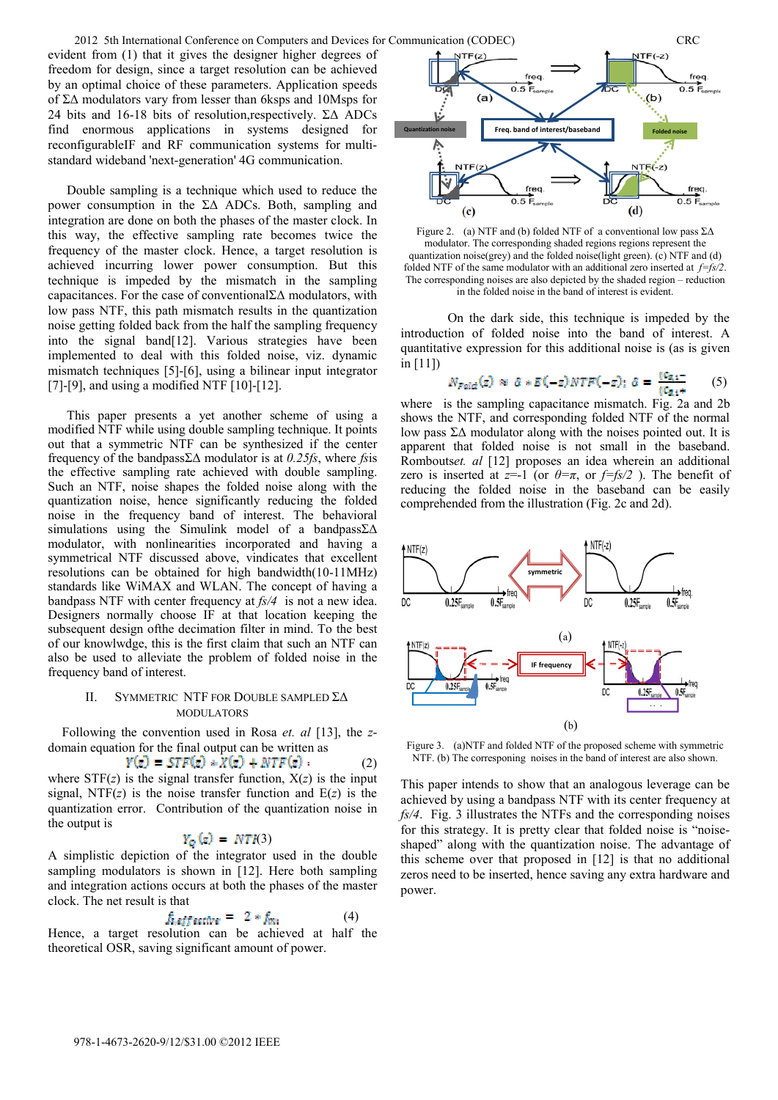evident from (1) that it gives the designer higher degrees of freedom for design, since a target resolution can be achieved by an optimal choice of these parameters. Application speeds of  $\Sigma\Delta$  modulators vary from lesser than 6ksps and 10Msps for 24 bits and 16-18 bits of resolution, respectively.  $\Sigma\Delta$  ADCs find enormous applications in systems designed for reconfigurableIF and RF communication systems for multistandard wideband 'next-generation' 4G communication.

Double sampling is a technique which used to reduce the power consumption in the  $\Sigma\Delta$  ADCs. Both, sampling and integration are done on both the phases of the master clock. In this way, the effective sampling rate becomes twice the frequency of the master clock. Hence, a target resolution is achieved incurring lower power consumption. But this technique is impeded by the mismatch in the sampling capacitances. For the case of conventional $\Sigma\Delta$  modulators, with low pass NTF, this path mismatch results in the quantization noise getting folded back from the half the sampling frequency into the signal band[12]. Various strategies have been implemented to deal with this folded noise, viz. dynamic mismatch techniques [5]-[6], using a bilinear input integrator [7]-[9], and using a modified NTF [10]-[12].

This paper presents a yet another scheme of using a modified NTF while using double sampling technique. It points out that a symmetric NTF can be synthesized if the center frequency of the bandpass $\Sigma\Delta$  modulator is at 0.25fs, where fsis the effective sampling rate achieved with double sampling. Such an NTF, noise shapes the folded noise along with the quantization noise, hence significantly reducing the folded noise in the frequency band of interest. The behavioral simulations using the Simulink model of a bandpass $\Sigma\Delta$ modulator, with nonlinearities incorporated and having a symmetrical NTF discussed above, vindicates that excellent resolutions can be obtained for high bandwidth(10-11MHz) standards like WiMAX and WLAN. The concept of having a bandpass NTF with center frequency at *fs/4* is not a new idea. Designers normally choose IF at that location keeping the subsequent design ofthe decimation filter in mind. To the best of our knowlwdge, this is the first claim that such an NTF can also be used to alleviate the problem of folded noise in the frequency band of interest.

## II. SYMMETRIC NTF FOR DOUBLE SAMPLED  $\Sigma \Delta$ MODULATORS

Following the convention used in Rosa *et. al* [13], the *z*domain equation for the final output can be written as

$$
F(z) = STF(z) * X(z) + NTF(z) . \qquad (2)
$$

where  $STF(z)$  is the signal transfer function,  $X(z)$  is the input signal, NTF( $z$ ) is the noise transfer function and  $E(z)$  is the quantization error. Contribution of the quantization noise in the output is

# $Y_Q(z) = NTR(3)$

A simplistic depiction of the integrator used in the double sampling modulators is shown in [12]. Here both sampling and integration actions occurs at both the phases of the master clock. The net result is that

$$
f_{\text{ref} \text{f} \text{active}} = 2 * f_{\text{true}} \tag{4}
$$

Hence, a target resolution can be achieved at half the theoretical OSR, saving significant amount of power.



Figure 2. (a) NTF and (b) folded NTF of a conventional low pass  $\Sigma\Delta$ modulator. The corresponding shaded regions regions represent the quantization noise(grey) and the folded noise(light green). (c) NTF and (d) folded NTF of the same modulator with an additional zero inserted at *f=fs/2*. The corresponding noises are also depicted by the shaded region – reduction in the folded noise in the band of interest is evident.

On the dark side, this technique is impeded by the introduction of folded noise into the band of interest. A quantitative expression for this additional noise is (as is given in [11])

$$
N_{Field}(z) \approx \delta * E(-z)NTF(-z); \delta = \frac{(S_{R1} - 1)}{(S_{R1} + 1)}
$$
 (5)

where is the sampling capacitance mismatch. Fig. 2a and 2b shows the NTF, and corresponding folded NTF of the normal low pass  $\Sigma\Delta$  modulator along with the noises pointed out. It is apparent that folded noise is not small in the baseband. Rombouts*et. al* [12] proposes an idea wherein an additional zero is inserted at  $z=1$  (or  $\theta=\pi$ , or  $f=f(s/2)$ ). The benefit of reducing the folded noise in the baseband can be easily comprehended from the illustration (Fig. 2c and 2d).



Figure 3. (a)NTF and folded NTF of the proposed scheme with symmetric NTF. (b) The corresponing noises in the band of interest are also shown.

This paper intends to show that an analogous leverage can be achieved by using a bandpass NTF with its center frequency at *fs/4*. Fig. 3 illustrates the NTFs and the corresponding noises for this strategy. It is pretty clear that folded noise is "noiseshaped" along with the quantization noise. The advantage of this scheme over that proposed in [12] is that no additional zeros need to be inserted, hence saving any extra hardware and power.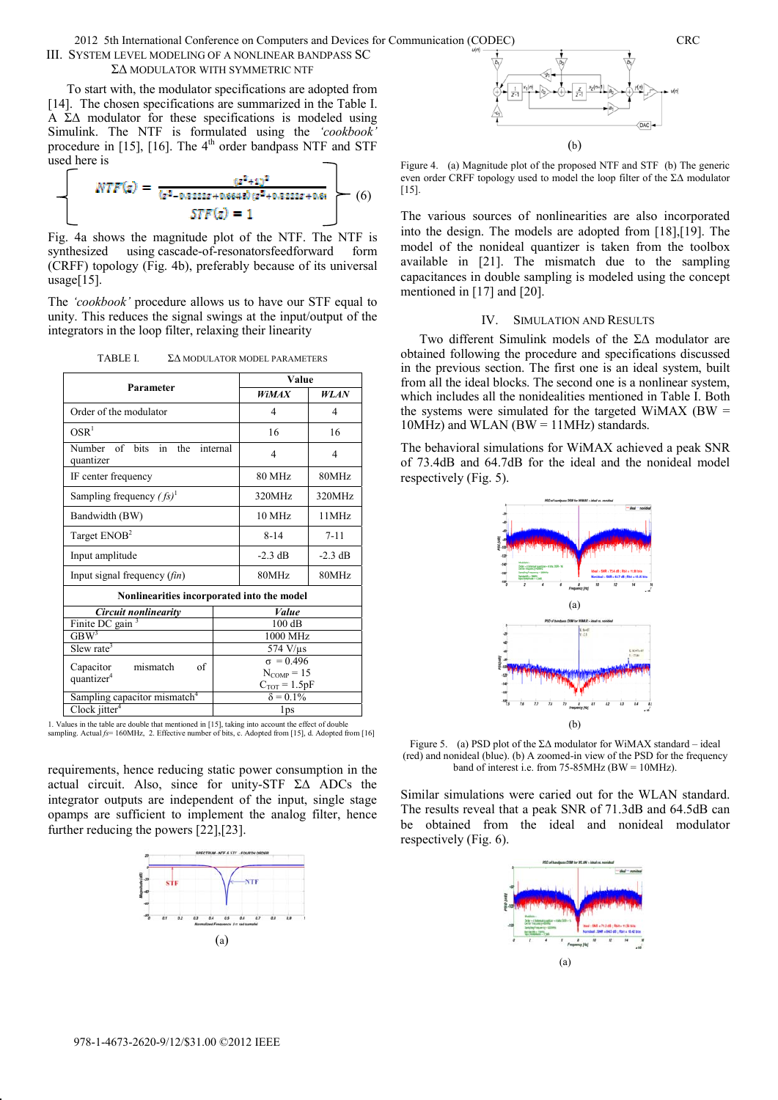# III. SYSTEM LEVEL MODELING OF A NONLINEAR BANDPASS SC Ȉǻ MODULATOR WITH SYMMETRIC NTF

To start with, the modulator specifications are adopted from [14]. The chosen specifications are summarized in the Table I. A  $\Sigma\Delta$  modulator for these specifications is modeled using Simulink. The NTF is formulated using the *'cookbook'* procedure in [15], [16]. The  $4<sup>th</sup>$  order bandpass NTF and STF used here is

$$
NTF(z) = \frac{(z^2 + 1)^2}{(z^2 - 0.3332z + 0.6648z)(z^2 + 0.3332z + 0.61)} \tag{6}
$$

$$
STF(z) = 1
$$

Fig. 4a shows the magnitude plot of the NTF. The NTF is synthesized using cascade-of-resonatorsfeedforward form (CRFF) topology (Fig. 4b), preferably because of its universal usage $[15]$ .

The *'cookbook'* procedure allows us to have our STF equal to unity. This reduces the signal swings at the input/output of the integrators in the loop filter, relaxing their linearity

| TABLE I. | ΣΔ MODULATOR MODEL PARAMETERS |  |
|----------|-------------------------------|--|
|          |                               |  |

| Parameter                                            |                  | Value             |             |  |
|------------------------------------------------------|------------------|-------------------|-------------|--|
|                                                      |                  | <b>WiMAX</b>      | <b>WLAN</b> |  |
| Order of the modulator                               |                  | 4                 | 4           |  |
| OSR <sup>1</sup>                                     |                  | 16                | 16          |  |
| Number of bits<br>in<br>the<br>internal<br>quantizer |                  | 4                 | 4           |  |
| IF center frequency                                  |                  | 80 MHz            | 80MHz       |  |
| Sampling frequency $(fs)^{1}$                        |                  | 320MHz            | 320MHz      |  |
| Bandwidth (BW)                                       |                  | 10 MHz            | 11MHz       |  |
| Target ENOB <sup>2</sup>                             |                  | $8 - 14$          | $7 - 11$    |  |
| Input amplitude                                      |                  | $-2.3$ dB         | $-2.3$ dB   |  |
| Input signal frequency $(fin)$                       |                  | 80MHz             | 80MHz       |  |
| Nonlinearities incorporated into the model           |                  |                   |             |  |
| Circuit nonlinearity                                 |                  | Value             |             |  |
| Finite DC gain                                       | 100dB            |                   |             |  |
| GBW <sup>3</sup>                                     |                  | 1000 MHz          |             |  |
| Slew rate <sup>3</sup>                               | $574$ V/ $\mu$ s |                   |             |  |
| Capacitor<br>mismatch<br>of                          | $\sigma = 0.496$ |                   |             |  |
| quantizer <sup>4</sup>                               | $N_{COMP}=15$    |                   |             |  |
|                                                      |                  | $C_{TOT} = 1.5pF$ |             |  |
| Sampling capacitor mismatch <sup>4</sup>             |                  | $\delta = 0.1\%$  |             |  |
| Clock jitter $4$                                     |                  | 1ps               |             |  |

1. Values in the table are double that mentioned in [15], taking into account the effect of double sampling. Actual *fs*= 160MHz, 2. Effective number of bits, c. Adopted from [15], d. Adopted from [16]

requirements, hence reducing static power consumption in the actual circuit. Also, since for unity-STF  $\Sigma\Delta$  ADCs the integrator outputs are independent of the input, single stage opamps are sufficient to implement the analog filter, hence further reducing the powers [22],[23].





Figure 4. (a) Magnitude plot of the proposed NTF and STF (b) The generic even order CRFF topology used to model the loop filter of the  $\Sigma\Delta$  modulator  $[15]$ .

The various sources of nonlinearities are also incorporated into the design. The models are adopted from [18],[19]. The model of the nonideal quantizer is taken from the toolbox available in [21]. The mismatch due to the sampling capacitances in double sampling is modeled using the concept mentioned in [17] and [20].

## IV. SIMULATION AND RESULTS

Two different Simulink models of the  $\Sigma\Delta$  modulator are obtained following the procedure and specifications discussed in the previous section. The first one is an ideal system, built from all the ideal blocks. The second one is a nonlinear system, which includes all the nonidealities mentioned in Table I. Both the systems were simulated for the targeted WiMAX (BW  $=$  $10MHz$ ) and WLAN (BW =  $11MHz$ ) standards.

The behavioral simulations for WiMAX achieved a peak SNR of 73.4dB and 64.7dB for the ideal and the nonideal model respectively (Fig. 5).



Figure 5. (a) PSD plot of the  $\Sigma\Delta$  modulator for WiMAX standard – ideal (red) and nonideal (blue). (b) A zoomed-in view of the PSD for the frequency band of interest i.e. from 75-85MHz (BW = 10MHz).

Similar simulations were caried out for the WLAN standard. The results reveal that a peak SNR of 71.3dB and 64.5dB can be obtained from the ideal and nonideal modulator respectively (Fig. 6).